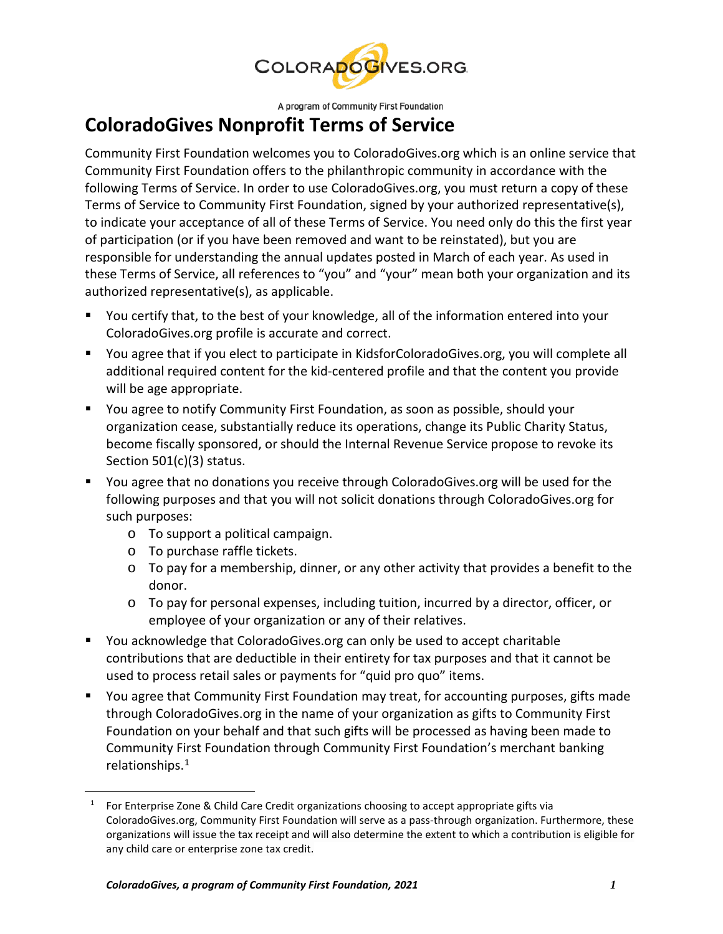

A program of Community First Foundation

## **ColoradoGives Nonprofit Terms of Service**

Community First Foundation welcomes you to ColoradoGives.org which is an online service that Community First Foundation offers to the philanthropic community in accordance with the following Terms of Service. In order to use ColoradoGives.org, you must return a copy of these Terms of Service to Community First Foundation, signed by your authorized representative(s), to indicate your acceptance of all of these Terms of Service. You need only do this the first year of participation (or if you have been removed and want to be reinstated), but you are responsible for understanding the annual updates posted in March of each year. As used in these Terms of Service, all references to "you" and "your" mean both your organization and its authorized representative(s), as applicable.

- You certify that, to the best of your knowledge, all of the information entered into your ColoradoGives.org profile is accurate and correct.
- You agree that if you elect to participate in KidsforColoradoGives.org, you will complete all additional required content for the kid-centered profile and that the content you provide will be age appropriate.
- You agree to notify Community First Foundation, as soon as possible, should your organization cease, substantially reduce its operations, change its Public Charity Status, become fiscally sponsored, or should the Internal Revenue Service propose to revoke its Section 501(c)(3) status.
- You agree that no donations you receive through ColoradoGives.org will be used for the following purposes and that you will not solicit donations through ColoradoGives.org for such purposes:
	- o To support a political campaign.
	- o To purchase raffle tickets.
	- o To pay for a membership, dinner, or any other activity that provides a benefit to the donor.
	- o To pay for personal expenses, including tuition, incurred by a director, officer, or employee of your organization or any of their relatives.
- You acknowledge that ColoradoGives.org can only be used to accept charitable contributions that are deductible in their entirety for tax purposes and that it cannot be used to process retail sales or payments for "quid pro quo" items.
- You agree that Community First Foundation may treat, for accounting purposes, gifts made through ColoradoGives.org in the name of your organization as gifts to Community First Foundation on your behalf and that such gifts will be processed as having been made to Community First Foundation through Community First Foundation's merchant banking relationships. [1](#page-0-0)

<span id="page-0-0"></span><sup>&</sup>lt;sup>1</sup> For Enterprise Zone & Child Care Credit organizations choosing to accept appropriate gifts via ColoradoGives.org, Community First Foundation will serve as a pass-through organization. Furthermore, these organizations will issue the tax receipt and will also determine the extent to which a contribution is eligible for any child care or enterprise zone tax credit.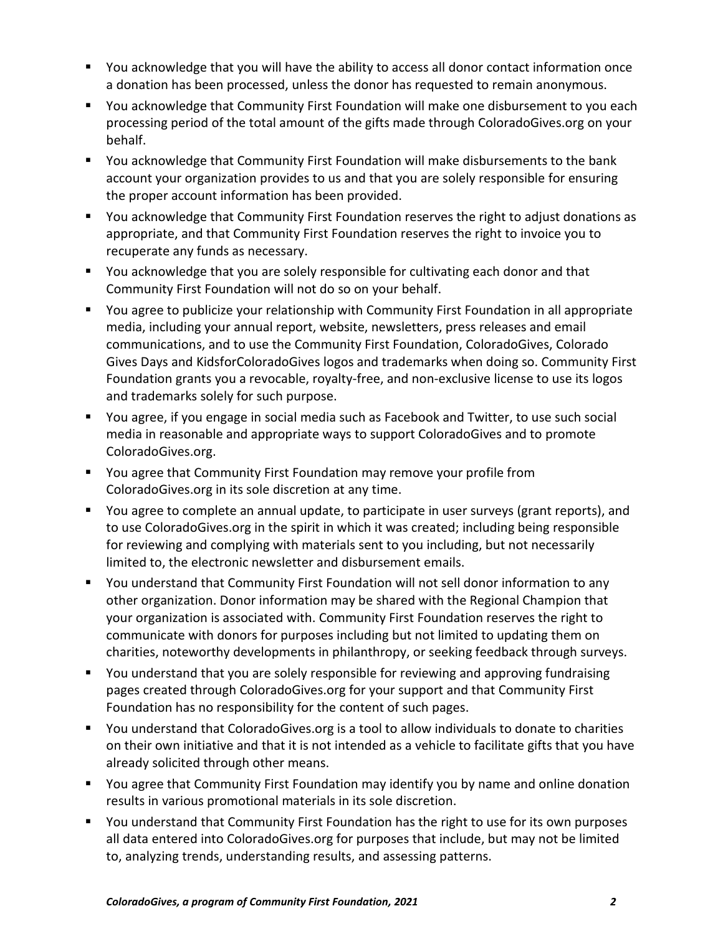- You acknowledge that you will have the ability to access all donor contact information once a donation has been processed, unless the donor has requested to remain anonymous.
- You acknowledge that Community First Foundation will make one disbursement to you each processing period of the total amount of the gifts made through ColoradoGives.org on your behalf.
- You acknowledge that Community First Foundation will make disbursements to the bank account your organization provides to us and that you are solely responsible for ensuring the proper account information has been provided.
- You acknowledge that Community First Foundation reserves the right to adjust donations as appropriate, and that Community First Foundation reserves the right to invoice you to recuperate any funds as necessary.
- You acknowledge that you are solely responsible for cultivating each donor and that Community First Foundation will not do so on your behalf.
- You agree to publicize your relationship with Community First Foundation in all appropriate media, including your annual report, website, newsletters, press releases and email communications, and to use the Community First Foundation, ColoradoGives, Colorado Gives Days and KidsforColoradoGives logos and trademarks when doing so. Community First Foundation grants you a revocable, royalty-free, and non-exclusive license to use its logos and trademarks solely for such purpose.
- You agree, if you engage in social media such as Facebook and Twitter, to use such social media in reasonable and appropriate ways to support ColoradoGives and to promote ColoradoGives.org.
- You agree that Community First Foundation may remove your profile from ColoradoGives.org in its sole discretion at any time.
- You agree to complete an annual update, to participate in user surveys (grant reports), and to use ColoradoGives.org in the spirit in which it was created; including being responsible for reviewing and complying with materials sent to you including, but not necessarily limited to, the electronic newsletter and disbursement emails.
- You understand that Community First Foundation will not sell donor information to any other organization. Donor information may be shared with the Regional Champion that your organization is associated with. Community First Foundation reserves the right to communicate with donors for purposes including but not limited to updating them on charities, noteworthy developments in philanthropy, or seeking feedback through surveys.
- You understand that you are solely responsible for reviewing and approving fundraising pages created through ColoradoGives.org for your support and that Community First Foundation has no responsibility for the content of such pages.
- You understand that ColoradoGives.org is a tool to allow individuals to donate to charities on their own initiative and that it is not intended as a vehicle to facilitate gifts that you have already solicited through other means.
- You agree that Community First Foundation may identify you by name and online donation results in various promotional materials in its sole discretion.
- You understand that Community First Foundation has the right to use for its own purposes all data entered into ColoradoGives.org for purposes that include, but may not be limited to, analyzing trends, understanding results, and assessing patterns.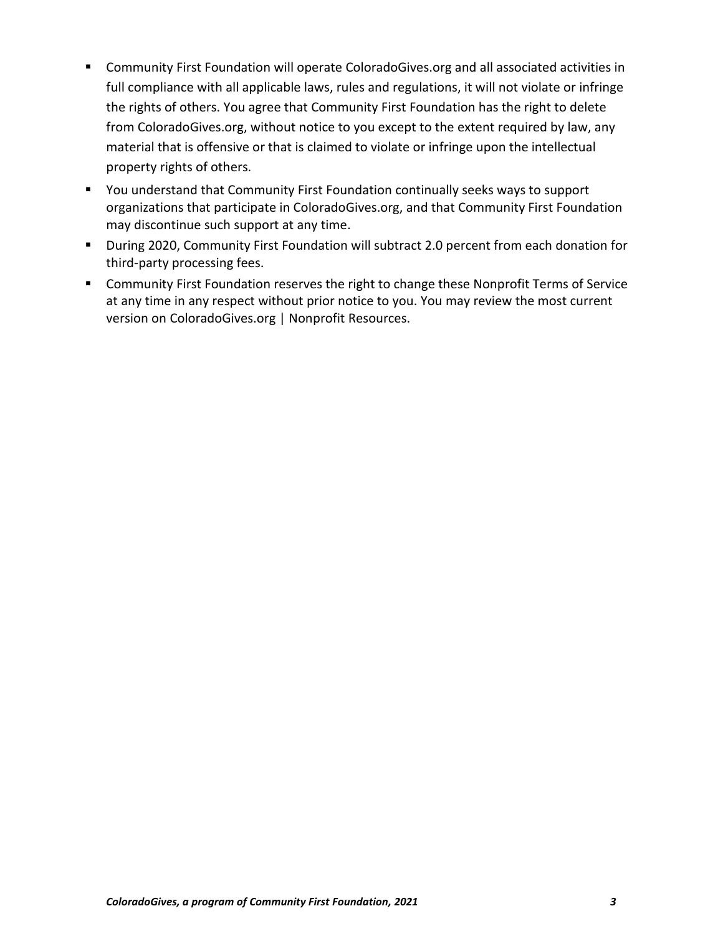- Community First Foundation will operate ColoradoGives.org and all associated activities in full compliance with all applicable laws, rules and regulations, it will not violate or infringe the rights of others. You agree that Community First Foundation has the right to delete from ColoradoGives.org, without notice to you except to the extent required by law, any material that is offensive or that is claimed to violate or infringe upon the intellectual property rights of others.
- You understand that Community First Foundation continually seeks ways to support organizations that participate in ColoradoGives.org, and that Community First Foundation may discontinue such support at any time.
- During 2020, Community First Foundation will subtract 2.0 percent from each donation for third-party processing fees.
- **EXP** Community First Foundation reserves the right to change these Nonprofit Terms of Service at any time in any respect without prior notice to you. You may review the most current version on ColoradoGives.org | Nonprofit Resources.